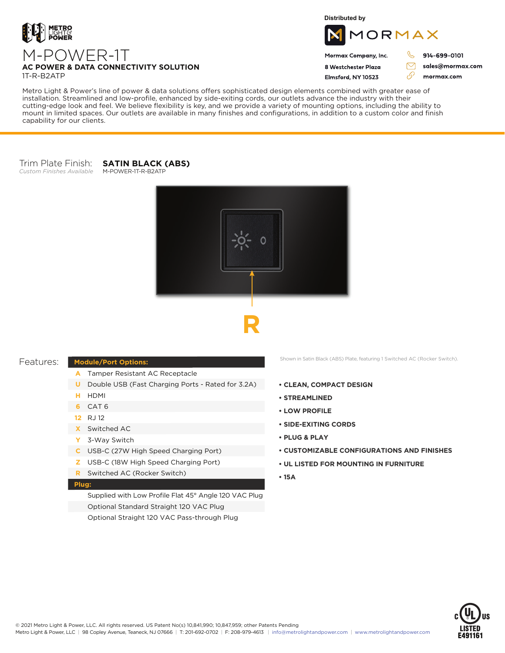

M-POWER-1T

**Distributed by**



### Mormax Company, Inc. 8 Westchester Plaza

914-699-0101

sales@mormax.com mormax.com

1T-R-B2ATP

**AC POWER & DATA CONNECTIVITY SOLUTION**

Flmsford, NY 10523

76

 $\triangledown$ 

Metro Light & Power's line of power & data solutions offers sophisticated design elements combined with greater ease of installation. Streamlined and low-profile, enhanced by side-exiting cords, our outlets advance the industry with their cutting-edge look and feel. We believe flexibility is key, and we provide a variety of mounting options, including the ability to mount in limited spaces. Our outlets are available in many finishes and configurations, in addition to a custom color and finish capability for our clients.

#### Trim Plate Finish: **SATIN BLACK (ABS)**

*Custom Finishes Available* M-POWER-1T-R-B2ATP

O



## Features:

# **Module/Port Options:**

- Tamper Resistant AC Receptacle **A**
- **U** Double USB (Fast Charging Ports Rated for 3.2A)
- HDMI **H**
- CAT 6 **6**
- RJ 12 **12**
- Switched AC **X**
- 3-Way Switch **Y**
- USB-C (27W High Speed Charging Port) **C**
- USB-C (18W High Speed Charging Port) **Z**
- Switched AC (Rocker Switch) **R**

#### **Plug:**

Supplied with Low Profile Flat 45° Angle 120 VAC Plug Optional Standard Straight 120 VAC Plug Optional Straight 120 VAC Pass-through Plug

Shown in Satin Black (ABS) Plate, featuring 1 Switched AC (Rocker Switch).

- **CLEAN, COMPACT DESIGN**
- **STREAMLINED**
- **LOW PROFILE**
- **SIDE-EXITING CORDS**
- **PLUG & PLAY**
- **CUSTOMIZABLE CONFIGURATIONS AND FINISHES**
- **UL LISTED FOR MOUNTING IN FURNITURE**
- **15A**